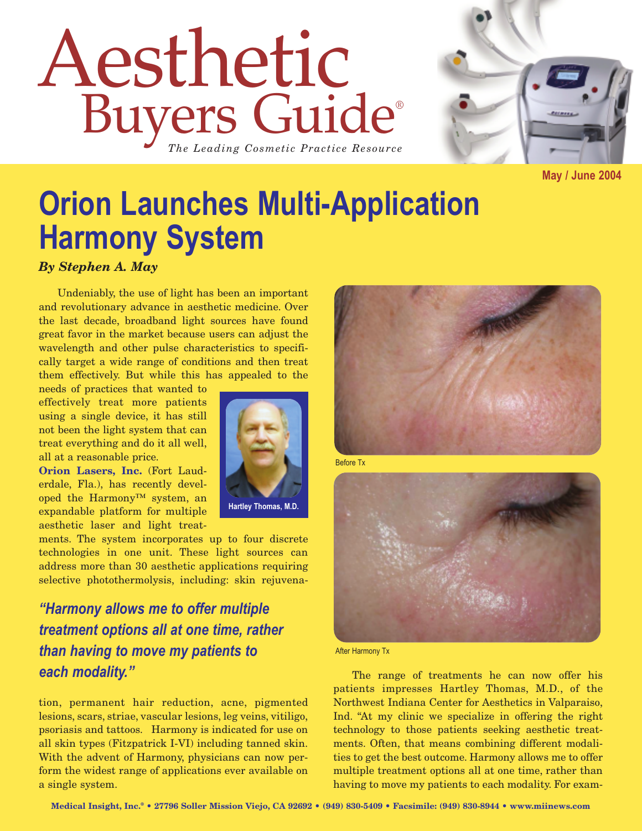## Aesthetic Buyers Guide® *The Leading Cosmetic Practice Resource*



**May / June 2004**

## **Orion Launches Multi-Application Harmony System**

*By Stephen A. May*

Undeniably, the use of light has been an important and revolutionary advance in aesthetic medicine. Over the last decade, broadband light sources have found great favor in the market because users can adjust the wavelength and other pulse characteristics to specifically target a wide range of conditions and then treat them effectively. But while this has appealed to the

needs of practices that wanted to effectively treat more patients using a single device, it has still not been the light system that can treat everything and do it all well, all at a reasonable price.

**Orion Lasers, Inc.** (Fort Lauderdale, Fla.), has recently developed the Harmony™ system, an expandable platform for multiple aesthetic laser and light treat-

ments. The system incorporates up to four discrete technologies in one unit. These light sources can address more than 30 aesthetic applications requiring selective photothermolysis, including: skin rejuvena-

*"Harmony allows me to offer multiple treatment options all at one time, rather than having to move my patients to each modality."*

tion, permanent hair reduction, acne, pigmented lesions, scars, striae, vascular lesions, leg veins, vitiligo, psoriasis and tattoos. Harmony is indicated for use on all skin types (Fitzpatrick I-VI) including tanned skin. With the advent of Harmony, physicians can now perform the widest range of applications ever available on a single system.





Before Tx



After Harmony Tx

The range of treatments he can now offer his patients impresses Hartley Thomas, M.D., of the Northwest Indiana Center for Aesthetics in Valparaiso, Ind. "At my clinic we specialize in offering the right technology to those patients seeking aesthetic treatments. Often, that means combining different modalities to get the best outcome. Harmony allows me to offer multiple treatment options all at one time, rather than having to move my patients to each modality. For exam